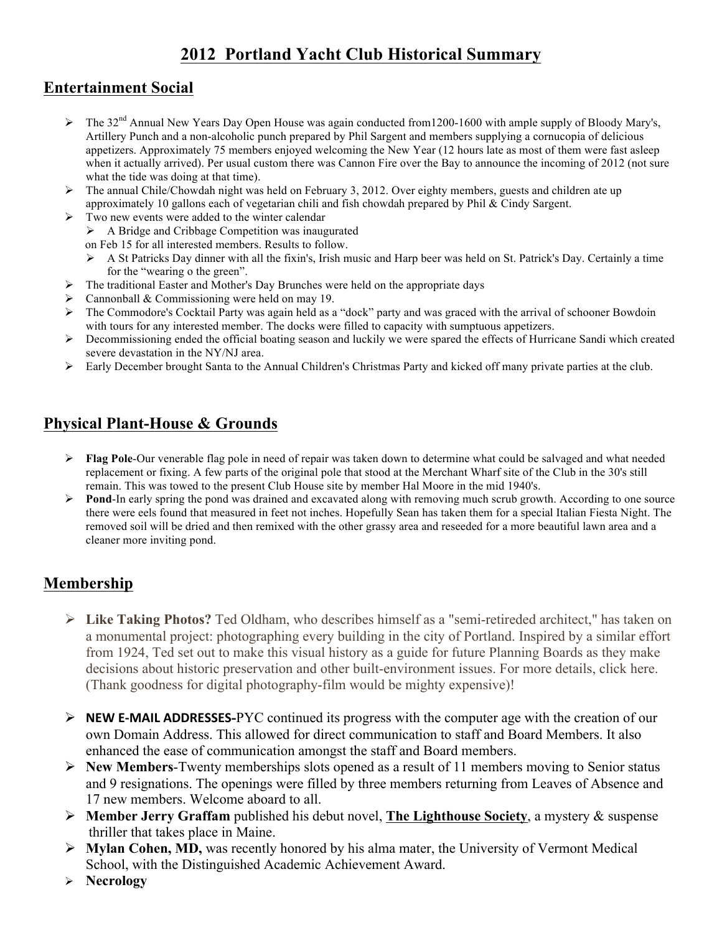# **2012 Portland Yacht Club Historical Summary**

### **Entertainment Social**

- > The 32<sup>nd</sup> Annual New Years Day Open House was again conducted from1200-1600 with ample supply of Bloody Mary's, Artillery Punch and a non-alcoholic punch prepared by Phil Sargent and members supplying a cornucopia of delicious appetizers. Approximately 75 members enjoyed welcoming the New Year (12 hours late as most of them were fast asleep when it actually arrived). Per usual custom there was Cannon Fire over the Bay to announce the incoming of 2012 (not sure what the tide was doing at that time).
- $\triangleright$  The annual Chile/Chowdah night was held on February 3, 2012. Over eighty members, guests and children ate up approximately 10 gallons each of vegetarian chili and fish chowdah prepared by Phil & Cindy Sargent.
- $\triangleright$  Two new events were added to the winter calendar
	- $\triangleright$  A Bridge and Cribbage Competition was inaugurated
	- on Feb 15 for all interested members. Results to follow.
	- $\triangleright$  A St Patricks Day dinner with all the fixin's, Irish music and Harp beer was held on St. Patrick's Day. Certainly a time for the "wearing o the green".
- The traditional Easter and Mother's Day Brunches were held on the appropriate days
- $\triangleright$  Cannonball & Commissioning were held on may 19.
- > The Commodore's Cocktail Party was again held as a "dock" party and was graced with the arrival of schooner Bowdoin with tours for any interested member. The docks were filled to capacity with sumptuous appetizers.
- $\triangleright$  Decommissioning ended the official boating season and luckily we were spared the effects of Hurricane Sandi which created severe devastation in the NY/NJ area.
- Early December brought Santa to the Annual Children's Christmas Party and kicked off many private parties at the club.

# **Physical Plant-House & Grounds**

- **Flag Pole-**Our venerable flag pole in need of repair was taken down to determine what could be salvaged and what needed replacement or fixing. A few parts of the original pole that stood at the Merchant Wharf site of the Club in the 30's still remain. This was towed to the present Club House site by member Hal Moore in the mid 1940's.
- **Pond-In early spring the pond was drained and excavated along with removing much scrub growth. According to one source** there were eels found that measured in feet not inches. Hopefully Sean has taken them for a special Italian Fiesta Night. The removed soil will be dried and then remixed with the other grassy area and reseeded for a more beautiful lawn area and a cleaner more inviting pond.

## **Membership**

- **Like Taking Photos?** Ted Oldham, who describes himself as a "semi-retireded architect," has taken on a monumental project: photographing every building in the city of Portland. Inspired by a similar effort from 1924, Ted set out to make this visual history as a guide for future Planning Boards as they make decisions about historic preservation and other built-environment issues. For more details, click here. (Thank goodness for digital photography-film would be mighty expensive)!
- **NEW E-MAIL ADDRESSES-PYC** continued its progress with the computer age with the creation of our own Domain Address. This allowed for direct communication to staff and Board Members. It also enhanced the ease of communication amongst the staff and Board members.
- **New Members**-Twenty memberships slots opened as a result of 11 members moving to Senior status and 9 resignations. The openings were filled by three members returning from Leaves of Absence and 17 new members. Welcome aboard to all.
- **Member Jerry Graffam** published his debut novel, **The Lighthouse Society**, a mystery & suspense thriller that takes place in Maine.
- **Mylan Cohen, MD,** was recently honored by his alma mater, the University of Vermont Medical School, with the Distinguished Academic Achievement Award.
- **Necrology**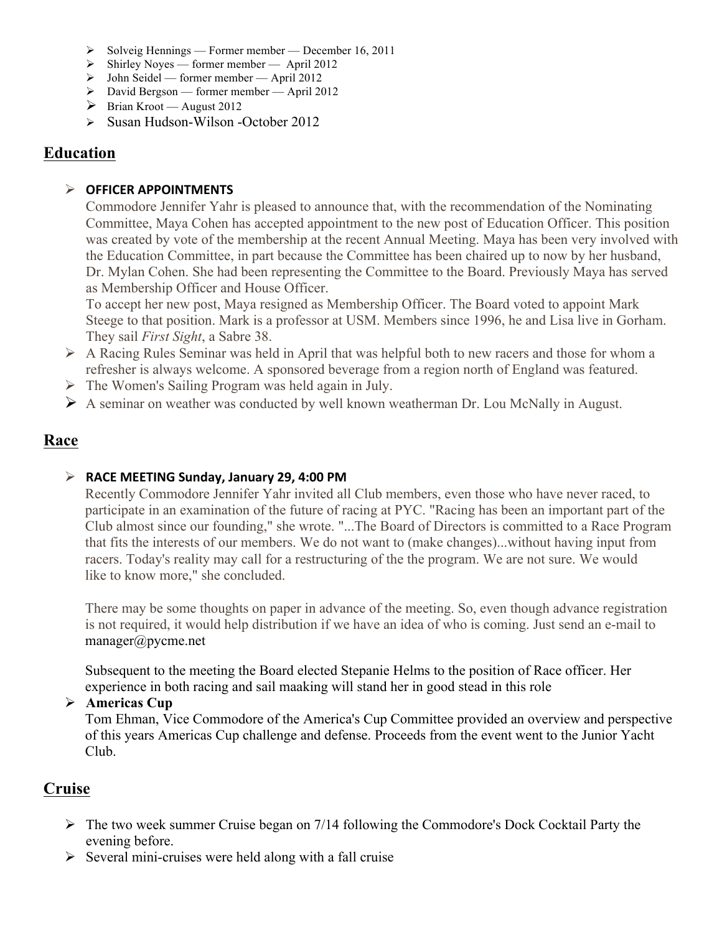- $\triangleright$  Solveig Hennings Former member December 16, 2011
- $\triangleright$  Shirley Noyes former member April 2012
- $\triangleright$  John Seidel former member April 2012
- David Bergson former member April 2012
- $\triangleright$  Brian Kroot August 2012
- $\triangleright$  Susan Hudson-Wilson -October 2012

### **Education**

#### **OFFICER APPOINTMENTS**

Commodore Jennifer Yahr is pleased to announce that, with the recommendation of the Nominating Committee, Maya Cohen has accepted appointment to the new post of Education Officer. This position was created by vote of the membership at the recent Annual Meeting. Maya has been very involved with the Education Committee, in part because the Committee has been chaired up to now by her husband, Dr. Mylan Cohen. She had been representing the Committee to the Board. Previously Maya has served as Membership Officer and House Officer.

To accept her new post, Maya resigned as Membership Officer. The Board voted to appoint Mark Steege to that position. Mark is a professor at USM. Members since 1996, he and Lisa live in Gorham. They sail *First Sight*, a Sabre 38.

- $\triangleright$  A Racing Rules Seminar was held in April that was helpful both to new racers and those for whom a refresher is always welcome. A sponsored beverage from a region north of England was featured.
- $\triangleright$  The Women's Sailing Program was held again in July.
- A seminar on weather was conducted by well known weatherman Dr. Lou McNally in August.

### **Race**

#### $\triangleright$  RACE MEETING Sunday, January 29, 4:00 PM

Recently Commodore Jennifer Yahr invited all Club members, even those who have never raced, to participate in an examination of the future of racing at PYC. "Racing has been an important part of the Club almost since our founding," she wrote. "...The Board of Directors is committed to a Race Program that fits the interests of our members. We do not want to (make changes)...without having input from racers. Today's reality may call for a restructuring of the the program. We are not sure. We would like to know more," she concluded.

There may be some thoughts on paper in advance of the meeting. So, even though advance registration is not required, it would help distribution if we have an idea of who is coming. Just send an e-mail to manager@pycme.net

Subsequent to the meeting the Board elected Stepanie Helms to the position of Race officer. Her experience in both racing and sail maaking will stand her in good stead in this role

#### **Americas Cup**

Tom Ehman, Vice Commodore of the America's Cup Committee provided an overview and perspective of this years Americas Cup challenge and defense. Proceeds from the event went to the Junior Yacht Club.

### **Cruise**

- $\triangleright$  The two week summer Cruise began on 7/14 following the Commodore's Dock Cocktail Party the evening before.
- $\triangleright$  Several mini-cruises were held along with a fall cruise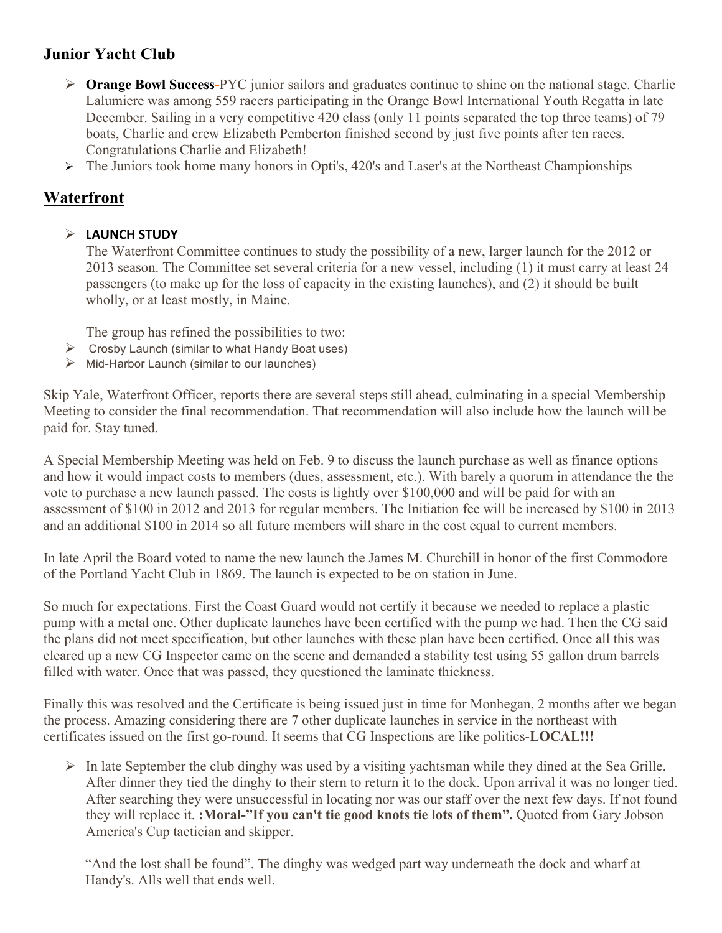# **Junior Yacht Club**

- **Orange Bowl Success-**PYC junior sailors and graduates continue to shine on the national stage. Charlie Lalumiere was among 559 racers participating in the Orange Bowl International Youth Regatta in late December. Sailing in a very competitive 420 class (only 11 points separated the top three teams) of 79 boats, Charlie and crew Elizabeth Pemberton finished second by just five points after ten races. Congratulations Charlie and Elizabeth!
- The Juniors took home many honors in Opti's, 420's and Laser's at the Northeast Championships

### **Waterfront**

#### **LAUNCH STUDY**

The Waterfront Committee continues to study the possibility of a new, larger launch for the 2012 or 2013 season. The Committee set several criteria for a new vessel, including (1) it must carry at least 24 passengers (to make up for the loss of capacity in the existing launches), and (2) it should be built wholly, or at least mostly, in Maine.

The group has refined the possibilities to two:

- $\triangleright$  Crosby Launch (similar to what Handy Boat uses)
- $\triangleright$  Mid-Harbor Launch (similar to our launches)

Skip Yale, Waterfront Officer, reports there are several steps still ahead, culminating in a special Membership Meeting to consider the final recommendation. That recommendation will also include how the launch will be paid for. Stay tuned.

A Special Membership Meeting was held on Feb. 9 to discuss the launch purchase as well as finance options and how it would impact costs to members (dues, assessment, etc.). With barely a quorum in attendance the the vote to purchase a new launch passed. The costs is lightly over \$100,000 and will be paid for with an assessment of \$100 in 2012 and 2013 for regular members. The Initiation fee will be increased by \$100 in 2013 and an additional \$100 in 2014 so all future members will share in the cost equal to current members.

In late April the Board voted to name the new launch the James M. Churchill in honor of the first Commodore of the Portland Yacht Club in 1869. The launch is expected to be on station in June.

So much for expectations. First the Coast Guard would not certify it because we needed to replace a plastic pump with a metal one. Other duplicate launches have been certified with the pump we had. Then the CG said the plans did not meet specification, but other launches with these plan have been certified. Once all this was cleared up a new CG Inspector came on the scene and demanded a stability test using 55 gallon drum barrels filled with water. Once that was passed, they questioned the laminate thickness.

Finally this was resolved and the Certificate is being issued just in time for Monhegan, 2 months after we began the process. Amazing considering there are 7 other duplicate launches in service in the northeast with certificates issued on the first go-round. It seems that CG Inspections are like politics-**LOCAL!!!**

 $\triangleright$  In late September the club dinghy was used by a visiting yachtsman while they dined at the Sea Grille. After dinner they tied the dinghy to their stern to return it to the dock. Upon arrival it was no longer tied. After searching they were unsuccessful in locating nor was our staff over the next few days. If not found they will replace it. **:Moral-"If you can't tie good knots tie lots of them".** Quoted from Gary Jobson America's Cup tactician and skipper.

"And the lost shall be found". The dinghy was wedged part way underneath the dock and wharf at Handy's. Alls well that ends well.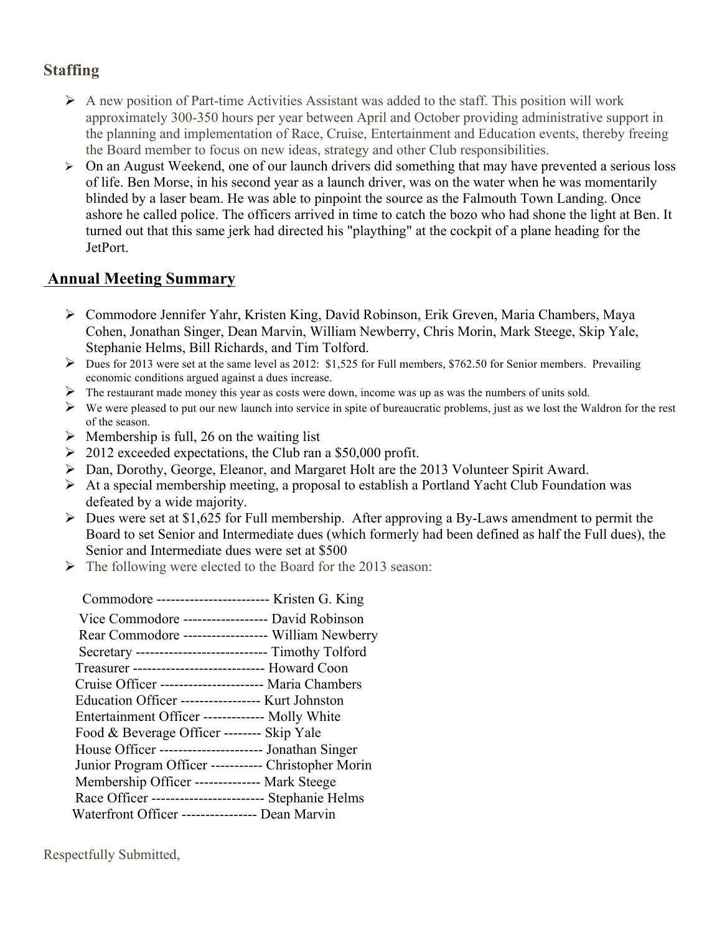# **Staffing**

- $\triangleright$  A new position of Part-time Activities Assistant was added to the staff. This position will work approximately 300-350 hours per year between April and October providing administrative support in the planning and implementation of Race, Cruise, Entertainment and Education events, thereby freeing the Board member to focus on new ideas, strategy and other Club responsibilities.
- $\triangleright$  On an August Weekend, one of our launch drivers did something that may have prevented a serious loss of life. Ben Morse, in his second year as a launch driver, was on the water when he was momentarily blinded by a laser beam. He was able to pinpoint the source as the Falmouth Town Landing. Once ashore he called police. The officers arrived in time to catch the bozo who had shone the light at Ben. It turned out that this same jerk had directed his "plaything" at the cockpit of a plane heading for the JetPort.

### **Annual Meeting Summary**

- Commodore Jennifer Yahr, Kristen King, David Robinson, Erik Greven, Maria Chambers, Maya Cohen, Jonathan Singer, Dean Marvin, William Newberry, Chris Morin, Mark Steege, Skip Yale, Stephanie Helms, Bill Richards, and Tim Tolford.
- Dues for 2013 were set at the same level as 2012: \$1,525 for Full members, \$762.50 for Senior members. Prevailing economic conditions argued against a dues increase.
- $\triangleright$  The restaurant made money this year as costs were down, income was up as was the numbers of units sold.
- $\triangleright$  We were pleased to put our new launch into service in spite of bureaucratic problems, just as we lost the Waldron for the rest of the season.
- $\triangleright$  Membership is full, 26 on the waiting list
- $\geq 2012$  exceeded expectations, the Club ran a \$50,000 profit.
- Dan, Dorothy, George, Eleanor, and Margaret Holt are the 2013 Volunteer Spirit Award.
- At a special membership meeting, a proposal to establish a Portland Yacht Club Foundation was defeated by a wide majority.
- $\triangleright$  Dues were set at \$1,625 for Full membership. After approving a By-Laws amendment to permit the Board to set Senior and Intermediate dues (which formerly had been defined as half the Full dues), the Senior and Intermediate dues were set at \$500
- $\triangleright$  The following were elected to the Board for the 2013 season:

| Commodore ------------------------- Kristen G. King    |  |
|--------------------------------------------------------|--|
| Vice Commodore ------------------ David Robinson       |  |
| Rear Commodore ------------------ William Newberry     |  |
| Secretary ---------------------------- Timothy Tolford |  |
| Treasurer ----------------------------- Howard Coon    |  |
| Cruise Officer ---------------------- Maria Chambers   |  |
| Education Officer ----------------- Kurt Johnston      |  |
| Entertainment Officer ------------- Molly White        |  |
| Food & Beverage Officer -------- Skip Yale             |  |
| House Officer ---------------------- Jonathan Singer   |  |
| Junior Program Officer ----------- Christopher Morin   |  |
| Membership Officer -------------- Mark Steege          |  |
| Race Officer ------------------------ Stephanie Helms  |  |
| Waterfront Officer ---------------- Dean Marvin        |  |
|                                                        |  |

Respectfully Submitted,